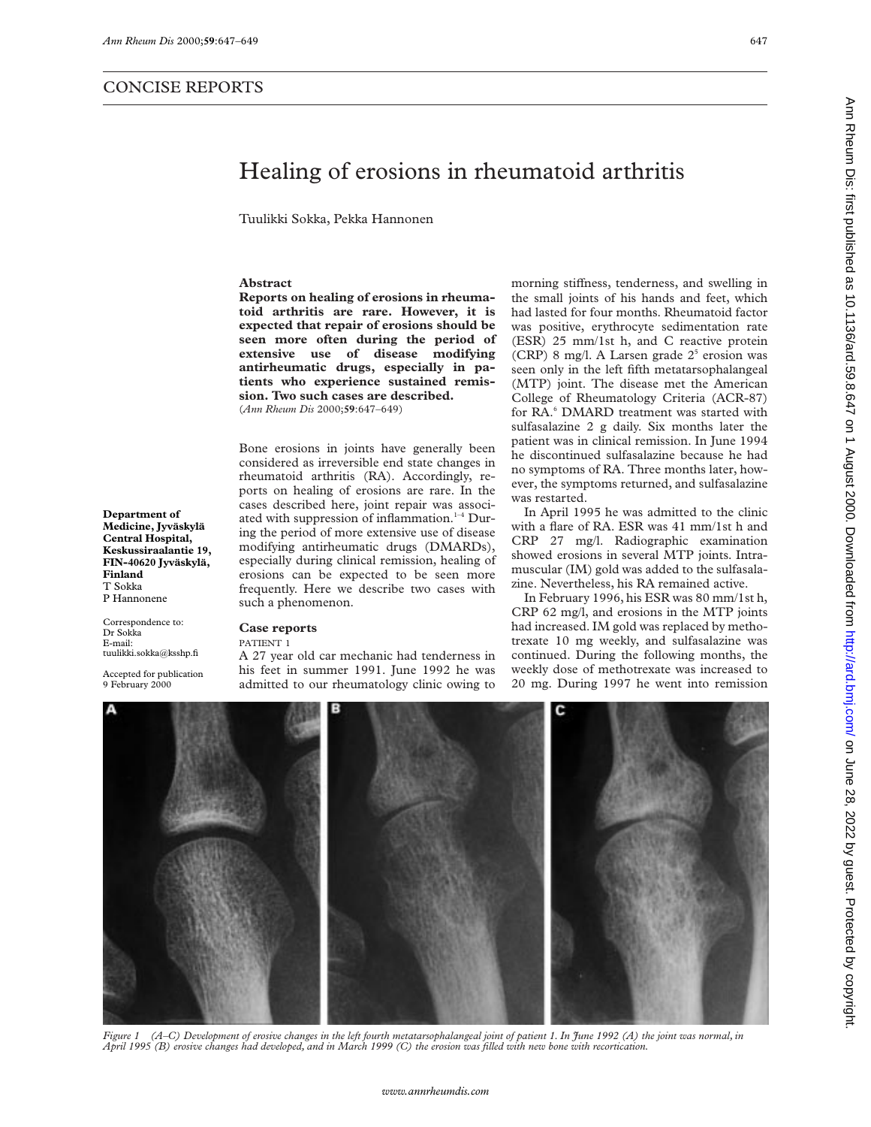# Ann Rheum Dis: first published as 10.1136/ard.59.8.647 on 1 August 2000. Downloaded from http://ard.brnj.com/ on June 28, 2022 by guest. Protected by copyright Ann Bis: iisti published as 10.1136/ard.59.8.247 on 4 Dugust 2000. Downloaded from http://ard.bm/ard.bm/ard.bm/ard.59.8.2.022 by guest. Protected by copyright.

# Healing of erosions in rheumatoid arthritis

Tuulikki Sokka, Pekka Hannonen

# **Abstract**

**Reports on healing of erosions in rheumatoid arthritis are rare. However, it is expected that repair of erosions should be seen more often during the period of extensive use of disease modifying antirheumatic drugs, especially in patients who experience sustained remission. Two such cases are described.** (*Ann Rheum Dis* 2000;**59**:647–649)

Bone erosions in joints have generally been considered as irreversible end state changes in rheumatoid arthritis (RA). Accordingly, reports on healing of erosions are rare. In the cases described here, joint repair was associated with suppression of inflammation. $1-4$  During the period of more extensive use of disease modifying antirheumatic drugs (DMARDs), especially during clinical remission, healing of erosions can be expected to be seen more frequently. Here we describe two cases with such a phenomenon.

Correspondence to: Dr Sokka E-mail: tuulikki.sokka@ksshp.fi

**Department of Medicine, Jyväskylä Central Hospital, Keskussiraalantie 19, FIN-40620 Jyväskylä,**

**Finland** T Sokka P Hannonene

Accepted for publication 9 February 2000

# **Case reports**

## PATIENT 1

A 27 year old car mechanic had tenderness in his feet in summer 1991. June 1992 he was admitted to our rheumatology clinic owing to

morning stiffness, tenderness, and swelling in the small joints of his hands and feet, which had lasted for four months. Rheumatoid factor was positive, erythrocyte sedimentation rate (ESR) 25 mm/1st h, and C reactive protein (CRP) 8 mg/l. A Larsen grade  $2<sup>5</sup>$  erosion was seen only in the left fifth metatarsophalangeal (MTP) joint. The disease met the American College of Rheumatology Criteria (ACR-87) for RA.<sup>6</sup> DMARD treatment was started with sulfasalazine 2 g daily. Six months later the patient was in clinical remission. In June 1994 he discontinued sulfasalazine because he had no symptoms of RA. Three months later, however, the symptoms returned, and sulfasalazine was restarted.

In April 1995 he was admitted to the clinic with a flare of RA. ESR was 41 mm/1st h and CRP 27 mg/l. Radiographic examination showed erosions in several MTP joints. Intramuscular (IM) gold was added to the sulfasalazine. Nevertheless, his RA remained active.

In February 1996, his ESR was 80 mm/1st h, CRP 62 mg/l, and erosions in the MTP joints had increased. IM gold was replaced by methotrexate 10 mg weekly, and sulfasalazine was continued. During the following months, the weekly dose of methotrexate was increased to 20 mg. During 1997 he went into remission



*Figure 1 (A–C) Development of erosive changes in the left fourth metatarsophalangeal joint of patient 1. In June 1992 (A) the joint was normal, in April 1995 (B) erosive changes had developed, and in March 1999 (C) the erosion was filled with new bone with recortication.*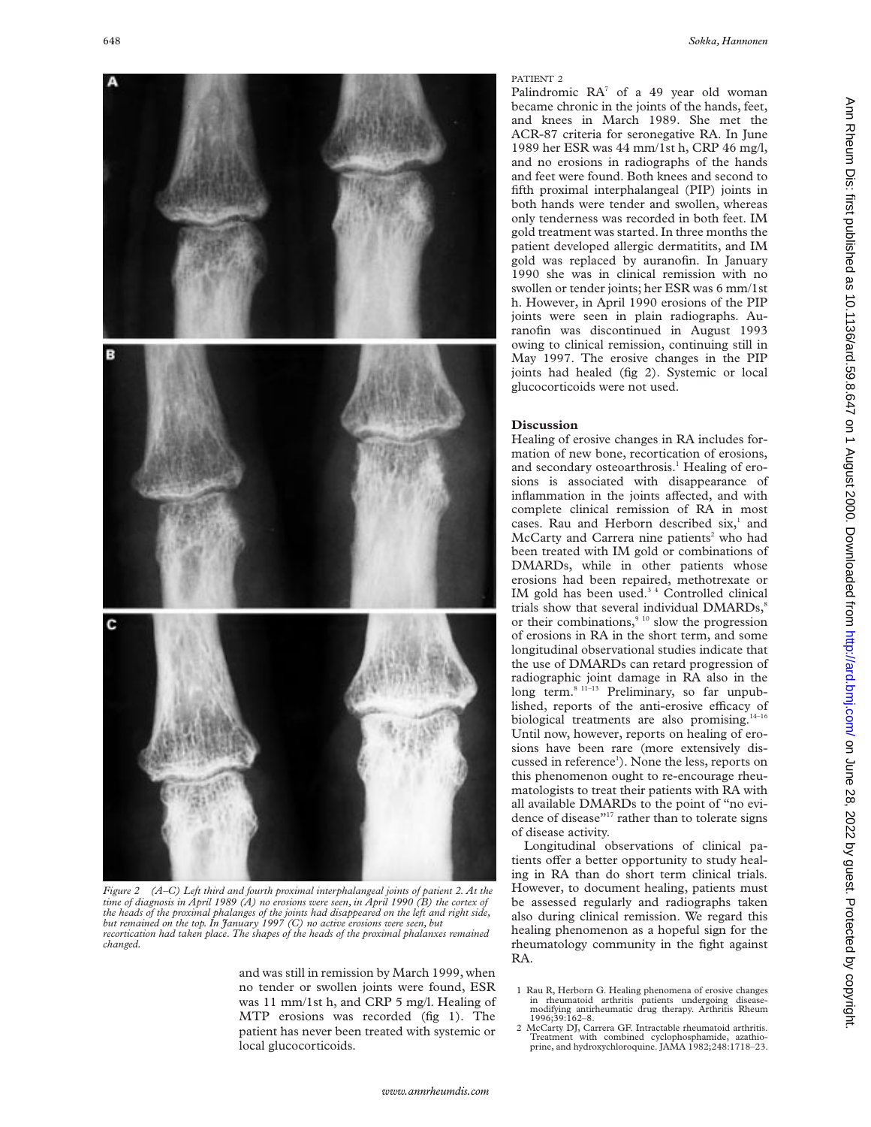

*Figure 2 (A–C) Left third and fourth proximal interphalangeal joints of patient 2. At the time of diagnosis in April 1989 (A) no erosions were seen, in April 1990 (B) the cortex of the heads of the proximal phalanges of the joints had disappeared on the left and right side, but remained on the top. In January 1997 (C) no active erosions were seen, but recortication had taken place. The shapes of the heads of the proximal phalanxes remained changed.*

and was still in remission by March 1999, when no tender or swollen joints were found, ESR was 11 mm/1st h, and CRP 5 mg/l. Healing of MTP erosions was recorded (fig 1). The patient has never been treated with systemic or local glucocorticoids.

### PATIENT 2

Palindromic  $RA^7$  of a 49 year old woman became chronic in the joints of the hands, feet, and knees in March 1989. She met the ACR-87 criteria for seronegative RA. In June 1989 her ESR was 44 mm/1st h, CRP 46 mg/l, and no erosions in radiographs of the hands and feet were found. Both knees and second to fifth proximal interphalangeal (PIP) joints in both hands were tender and swollen, whereas only tenderness was recorded in both feet. IM gold treatment was started. In three months the patient developed allergic dermatitits, and IM gold was replaced by auranofin. In January 1990 she was in clinical remission with no swollen or tender joints; her ESR was 6 mm/1st h. However, in April 1990 erosions of the PIP joints were seen in plain radiographs. Auranofin was discontinued in August 1993 owing to clinical remission, continuing still in May 1997. The erosive changes in the PIP joints had healed (fig 2). Systemic or local glucocorticoids were not used.

# **Discussion**

Healing of erosive changes in RA includes formation of new bone, recortication of erosions, and secondary osteoarthrosis.<sup>1</sup> Healing of erosions is associated with disappearance of inflammation in the joints affected, and with complete clinical remission of RA in most cases. Rau and Herborn described six,<sup>1</sup> and McCarty and Carrera nine patients<sup>2</sup> who had been treated with IM gold or combinations of DMARDs, while in other patients whose erosions had been repaired, methotrexate or IM gold has been used.<sup>34</sup> Controlled clinical trials show that several individual DMARDs,<sup>8</sup> or their combinations, $9^{10}$  slow the progression of erosions in RA in the short term, and some longitudinal observational studies indicate that the use of DMARDs can retard progression of radiographic joint damage in RA also in the long term.<sup>8 11–13</sup> Preliminary, so far unpublished, reports of the anti-erosive efficacy of biological treatments are also promising.<sup>14-16</sup> Until now, however, reports on healing of erosions have been rare (more extensively discussed in reference<sup>1</sup>). None the less, reports on this phenomenon ought to re-encourage rheumatologists to treat their patients with RA with all available DMARDs to the point of "no evidence of disease"<sup>17</sup> rather than to tolerate signs of disease activity.

Longitudinal observations of clinical patients offer a better opportunity to study healing in RA than do short term clinical trials. However, to document healing, patients must be assessed regularly and radiographs taken also during clinical remission. We regard this healing phenomenon as a hopeful sign for the rheumatology community in the fight against RA.

<sup>1</sup> Rau R, Herborn G. Healing phenomena of erosive changes in rheumatoid arthritis patients undergoing disease-modifying antirheumatic drug therapy. Arthritis Rheum 1996;39:162–8.

<sup>2</sup> McCarty DJ, Carrera GF. Intractable rheumatoid arthritis. Treatment with combined cyclophosphamide, azathioprine, and hydroxychloroquine. JAMA 1982;248:1718–23.